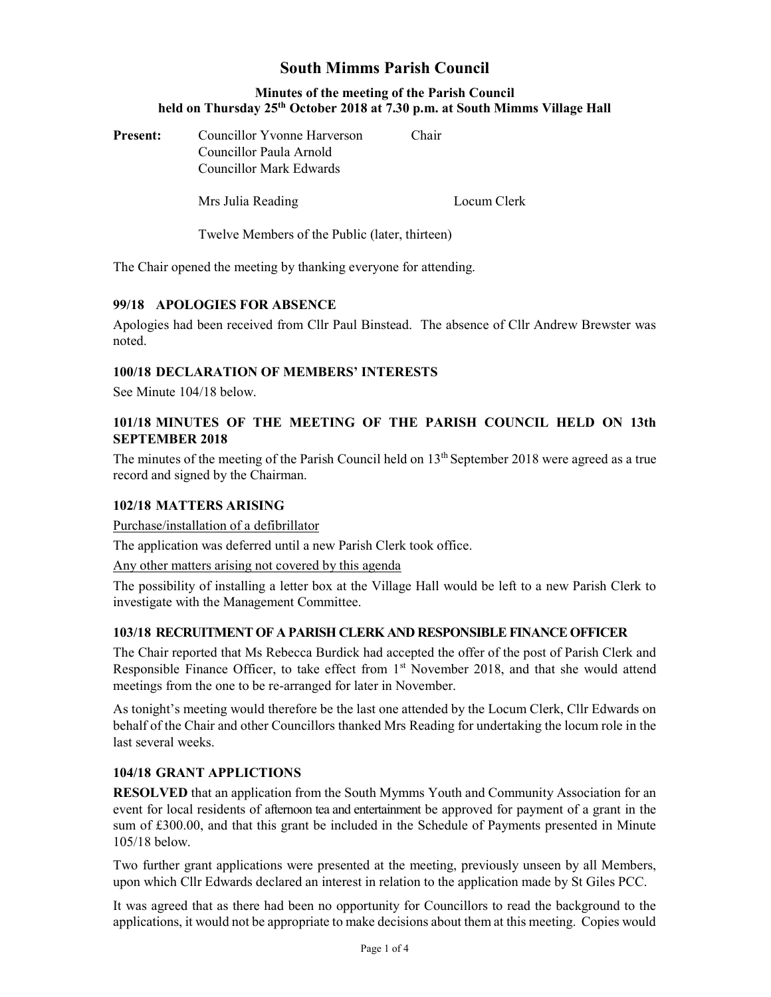# South Mimms Parish Council

## Minutes of the meeting of the Parish Council held on Thursday 25<sup>th</sup> October 2018 at 7.30 p.m. at South Mimms Village Hall

**Present:** Councillor Yvonne Harverson Chair Councillor Paula Arnold Councillor Mark Edwards

Mrs Julia Reading **Locum Clerk** 

Twelve Members of the Public (later, thirteen)

The Chair opened the meeting by thanking everyone for attending.

# 99/18 APOLOGIES FOR ABSENCE

Apologies had been received from Cllr Paul Binstead. The absence of Cllr Andrew Brewster was noted.

## 100/18 DECLARATION OF MEMBERS' INTERESTS

See Minute 104/18 below.

## 101/18 MINUTES OF THE MEETING OF THE PARISH COUNCIL HELD ON 13th SEPTEMBER 2018

The minutes of the meeting of the Parish Council held on  $13<sup>th</sup>$  September 2018 were agreed as a true record and signed by the Chairman.

#### 102/18 MATTERS ARISING

Purchase/installation of a defibrillator

The application was deferred until a new Parish Clerk took office.

Any other matters arising not covered by this agenda

The possibility of installing a letter box at the Village Hall would be left to a new Parish Clerk to investigate with the Management Committee.

#### 103/18 RECRUITMENT OF A PARISH CLERK AND RESPONSIBLE FINANCE OFFICER

The Chair reported that Ms Rebecca Burdick had accepted the offer of the post of Parish Clerk and Responsible Finance Officer, to take effect from  $1<sup>st</sup>$  November 2018, and that she would attend meetings from the one to be re-arranged for later in November.

As tonight's meeting would therefore be the last one attended by the Locum Clerk, Cllr Edwards on behalf of the Chair and other Councillors thanked Mrs Reading for undertaking the locum role in the last several weeks.

#### 104/18 GRANT APPLICTIONS

RESOLVED that an application from the South Mymms Youth and Community Association for an event for local residents of afternoon tea and entertainment be approved for payment of a grant in the sum of £300.00, and that this grant be included in the Schedule of Payments presented in Minute 105/18 below.

Two further grant applications were presented at the meeting, previously unseen by all Members, upon which Cllr Edwards declared an interest in relation to the application made by St Giles PCC.

It was agreed that as there had been no opportunity for Councillors to read the background to the applications, it would not be appropriate to make decisions about them at this meeting. Copies would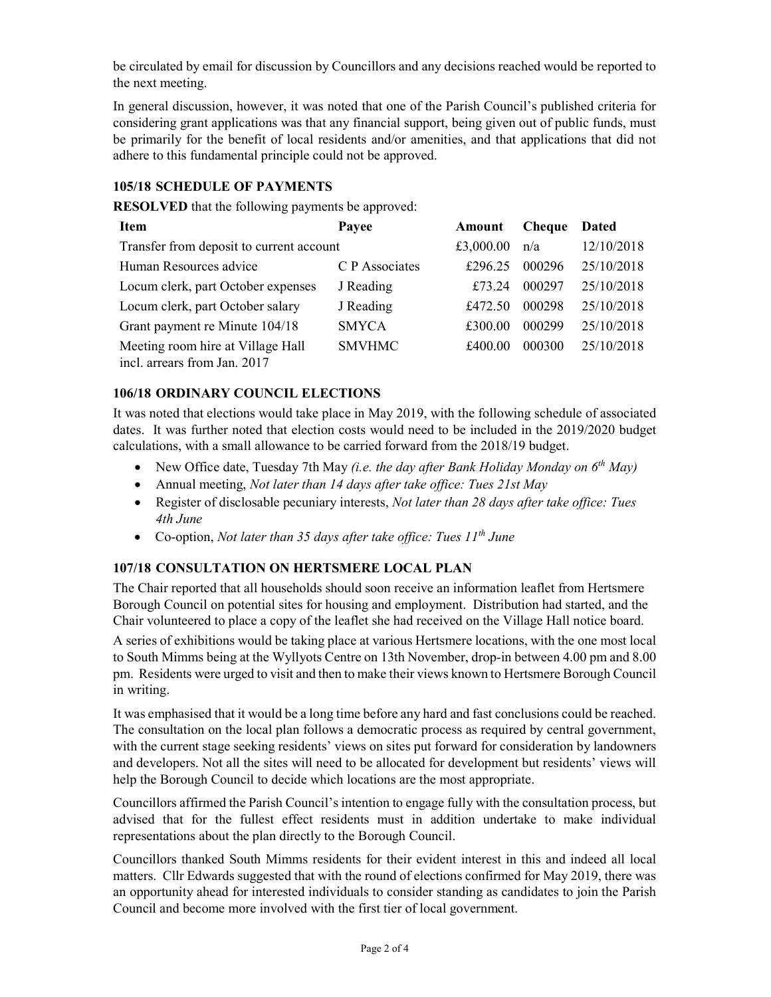be circulated by email for discussion by Councillors and any decisions reached would be reported to the next meeting.

In general discussion, however, it was noted that one of the Parish Council's published criteria for considering grant applications was that any financial support, being given out of public funds, must be primarily for the benefit of local residents and/or amenities, and that applications that did not adhere to this fundamental principle could not be approved.

## 105/18 SCHEDULE OF PAYMENTS

RESOLVED that the following payments be approved:

| Item                                                              | Payee          | Amount    | <b>Cheque</b> | <b>Dated</b> |
|-------------------------------------------------------------------|----------------|-----------|---------------|--------------|
| Transfer from deposit to current account                          |                | £3,000.00 | n/a           | 12/10/2018   |
| Human Resources advice                                            | C P Associates | £296.25   | 000296        | 25/10/2018   |
| Locum clerk, part October expenses                                | J Reading      | £73.24    | 000297        | 25/10/2018   |
| Locum clerk, part October salary                                  | J Reading      | £472.50   | 000298        | 25/10/2018   |
| Grant payment re Minute 104/18                                    | <b>SMYCA</b>   | £300.00   | 000299        | 25/10/2018   |
| Meeting room hire at Village Hall<br>incl. arrears from Jan. 2017 | <b>SMVHMC</b>  | £400.00   | 000300        | 25/10/2018   |

#### 106/18 ORDINARY COUNCIL ELECTIONS

It was noted that elections would take place in May 2019, with the following schedule of associated dates. It was further noted that election costs would need to be included in the 2019/2020 budget calculations, with a small allowance to be carried forward from the 2018/19 budget.

- New Office date, Tuesday 7th May (i.e. the day after Bank Holiday Monday on  $6<sup>th</sup>$  May)
- Annual meeting, Not later than 14 days after take office: Tues 21st May
- Register of disclosable pecuniary interests, *Not later than 28 days after take office: Tues* 4th June
- Co-option, Not later than 35 days after take office: Tues  $11^{th}$  June

# 107/18 CONSULTATION ON HERTSMERE LOCAL PLAN

The Chair reported that all households should soon receive an information leaflet from Hertsmere Borough Council on potential sites for housing and employment. Distribution had started, and the Chair volunteered to place a copy of the leaflet she had received on the Village Hall notice board.

A series of exhibitions would be taking place at various Hertsmere locations, with the one most local to South Mimms being at the Wyllyots Centre on 13th November, drop-in between 4.00 pm and 8.00 pm. Residents were urged to visit and then to make their views known to Hertsmere Borough Council in writing.

It was emphasised that it would be a long time before any hard and fast conclusions could be reached. The consultation on the local plan follows a democratic process as required by central government, with the current stage seeking residents' views on sites put forward for consideration by landowners and developers. Not all the sites will need to be allocated for development but residents' views will help the Borough Council to decide which locations are the most appropriate.

Councillors affirmed the Parish Council's intention to engage fully with the consultation process, but advised that for the fullest effect residents must in addition undertake to make individual representations about the plan directly to the Borough Council.

Councillors thanked South Mimms residents for their evident interest in this and indeed all local matters. Cllr Edwards suggested that with the round of elections confirmed for May 2019, there was an opportunity ahead for interested individuals to consider standing as candidates to join the Parish Council and become more involved with the first tier of local government.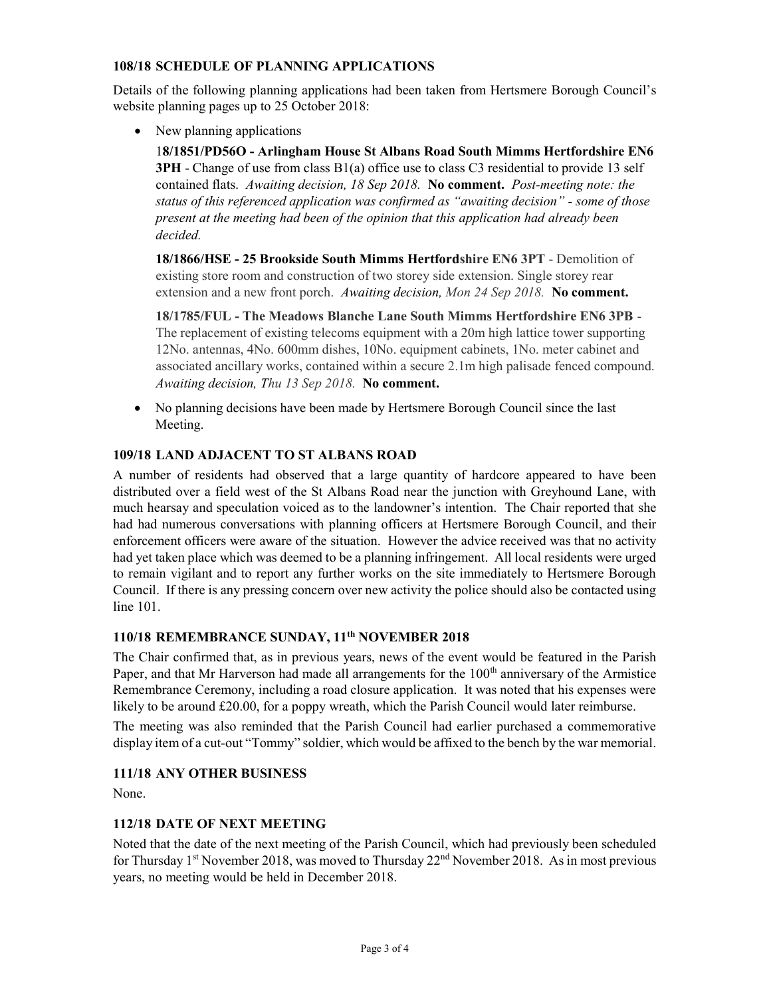## 108/18 SCHEDULE OF PLANNING APPLICATIONS

Details of the following planning applications had been taken from Hertsmere Borough Council's website planning pages up to 25 October 2018:

• New planning applications

18/1851/PD56O - Arlingham House St Albans Road South Mimms Hertfordshire EN6 3PH - Change of use from class B1(a) office use to class C3 residential to provide 13 self contained flats. Awaiting decision, 18 Sep 2018. No comment. Post-meeting note: the status of this referenced application was confirmed as "awaiting decision" - some of those present at the meeting had been of the opinion that this application had already been decided.

18/1866/HSE - 25 Brookside South Mimms Hertfordshire EN6 3PT - Demolition of existing store room and construction of two storey side extension. Single storey rear extension and a new front porch. Awaiting decision, Mon 24 Sep 2018. No comment.

18/1785/FUL - The Meadows Blanche Lane South Mimms Hertfordshire EN6 3PB - The replacement of existing telecoms equipment with a 20m high lattice tower supporting 12No. antennas, 4No. 600mm dishes, 10No. equipment cabinets, 1No. meter cabinet and associated ancillary works, contained within a secure 2.1m high palisade fenced compound. Awaiting decision, Thu 13 Sep 2018. No comment.

 No planning decisions have been made by Hertsmere Borough Council since the last Meeting.

#### 109/18 LAND ADJACENT TO ST ALBANS ROAD

A number of residents had observed that a large quantity of hardcore appeared to have been distributed over a field west of the St Albans Road near the junction with Greyhound Lane, with much hearsay and speculation voiced as to the landowner's intention. The Chair reported that she had had numerous conversations with planning officers at Hertsmere Borough Council, and their enforcement officers were aware of the situation. However the advice received was that no activity had yet taken place which was deemed to be a planning infringement. All local residents were urged to remain vigilant and to report any further works on the site immediately to Hertsmere Borough Council. If there is any pressing concern over new activity the police should also be contacted using line 101.

## 110/18 REMEMBRANCE SUNDAY, 11th NOVEMBER 2018

The Chair confirmed that, as in previous years, news of the event would be featured in the Parish Paper, and that Mr Harverson had made all arrangements for the 100<sup>th</sup> anniversary of the Armistice Remembrance Ceremony, including a road closure application. It was noted that his expenses were likely to be around £20.00, for a poppy wreath, which the Parish Council would later reimburse.

The meeting was also reminded that the Parish Council had earlier purchased a commemorative display item of a cut-out "Tommy" soldier, which would be affixed to the bench by the war memorial.

#### 111/18 ANY OTHER BUSINESS

None.

# 112/18 DATE OF NEXT MEETING

Noted that the date of the next meeting of the Parish Council, which had previously been scheduled for Thursday 1<sup>st</sup> November 2018, was moved to Thursday  $22<sup>nd</sup>$  November 2018. As in most previous years, no meeting would be held in December 2018.